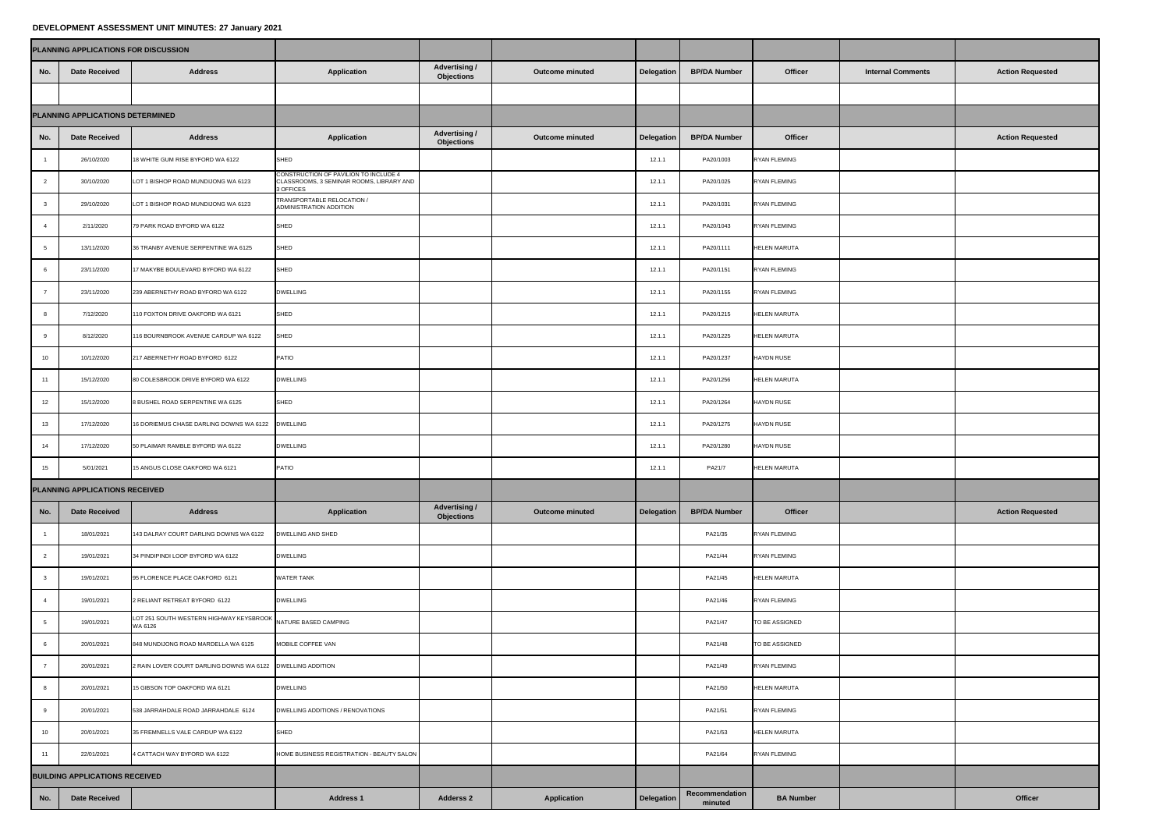## **DEVELOPMENT ASSESSMENT UNIT MINUTES: 27 January 2021**

|                                  | PLANNING APPLICATIONS FOR DISCUSSION  |                                                                         |                                                                                                |                                           |                        |            |                           |                     |                          |                         |
|----------------------------------|---------------------------------------|-------------------------------------------------------------------------|------------------------------------------------------------------------------------------------|-------------------------------------------|------------------------|------------|---------------------------|---------------------|--------------------------|-------------------------|
| No.                              | <b>Date Received</b>                  | <b>Address</b>                                                          | <b>Application</b>                                                                             | <b>Advertising /</b><br><b>Objections</b> | <b>Outcome minuted</b> | Delegation | <b>BP/DA Number</b>       | <b>Officer</b>      | <b>Internal Comments</b> | <b>Action Requested</b> |
|                                  |                                       |                                                                         |                                                                                                |                                           |                        |            |                           |                     |                          |                         |
| PLANNING APPLICATIONS DETERMINED |                                       |                                                                         |                                                                                                |                                           |                        |            |                           |                     |                          |                         |
| No.                              | <b>Date Received</b>                  | <b>Address</b>                                                          | <b>Application</b>                                                                             | <b>Advertising /</b><br><b>Objections</b> | <b>Outcome minuted</b> | Delegation | <b>BP/DA Number</b>       | <b>Officer</b>      |                          | <b>Action Requested</b> |
|                                  | 26/10/2020                            | 18 WHITE GUM RISE BYFORD WA 6122                                        | SHED                                                                                           |                                           |                        | 12.1.7     | PA20/1003                 | <b>RYAN FLEMING</b> |                          |                         |
|                                  | 30/10/2020                            | LOT 1 BISHOP ROAD MUNDIJONG WA 6123                                     | CONSTRUCTION OF PAVILION TO INCLUDE 4<br>CLASSROOMS, 3 SEMINAR ROOMS, LIBRARY AND<br>3 OFFICES |                                           |                        | 12.1.7     | PA20/1025                 | <b>RYAN FLEMING</b> |                          |                         |
|                                  | 29/10/2020                            | LOT 1 BISHOP ROAD MUNDIJONG WA 6123                                     | TRANSPORTABLE RELOCATION /<br>ADMINISTRATION ADDITION                                          |                                           |                        | 12.1.1     | PA20/1031                 | RYAN FLEMING        |                          |                         |
|                                  | 2/11/2020                             | 79 PARK ROAD BYFORD WA 6122                                             | SHED                                                                                           |                                           |                        | 12.1.7     | PA20/1043                 | RYAN FLEMING        |                          |                         |
|                                  | 13/11/2020                            | 36 TRANBY AVENUE SERPENTINE WA 6125                                     | SHED                                                                                           |                                           |                        | 12.1.7     | PA20/1111                 | <b>HELEN MARUTA</b> |                          |                         |
|                                  | 23/11/2020                            | 17 MAKYBE BOULEVARD BYFORD WA 6122                                      | SHED                                                                                           |                                           |                        | 12.1.1     | PA20/1151                 | <b>RYAN FLEMING</b> |                          |                         |
|                                  | 23/11/2020                            | 239 ABERNETHY ROAD BYFORD WA 6122                                       | <b>DWELLING</b>                                                                                |                                           |                        | 12.1.1     | PA20/1155                 | RYAN FLEMING        |                          |                         |
|                                  | 7/12/2020                             | 110 FOXTON DRIVE OAKFORD WA 6121                                        | SHED                                                                                           |                                           |                        | 12.1.1     | PA20/1215                 | <b>HELEN MARUTA</b> |                          |                         |
|                                  | 8/12/2020                             | 116 BOURNBROOK AVENUE CARDUP WA 6122                                    | SHED                                                                                           |                                           |                        | 12.1.1     | PA20/1225                 | <b>HELEN MARUTA</b> |                          |                         |
| 10                               | 10/12/2020                            | 217 ABERNETHY ROAD BYFORD 6122                                          | <b>PATIO</b>                                                                                   |                                           |                        | 12.1.1     | PA20/1237                 | <b>HAYDN RUSE</b>   |                          |                         |
| 11                               | 15/12/2020                            | 80 COLESBROOK DRIVE BYFORD WA 6122                                      | <b>DWELLING</b>                                                                                |                                           |                        | 12.1.1     | PA20/1256                 | <b>HELEN MARUTA</b> |                          |                         |
| 12                               | 15/12/2020                            | 8 BUSHEL ROAD SERPENTINE WA 6125                                        | SHED                                                                                           |                                           |                        | 12.1.1     | PA20/1264                 | <b>HAYDN RUSE</b>   |                          |                         |
| 13                               | 17/12/2020                            | 16 DORIEMUS CHASE DARLING DOWNS WA 6122 DWELLING                        |                                                                                                |                                           |                        | 12.1.1     | PA20/1275                 | <b>HAYDN RUSE</b>   |                          |                         |
| 14                               | 17/12/2020                            | 50 PLAIMAR RAMBLE BYFORD WA 6122                                        | <b>DWELLING</b>                                                                                |                                           |                        | 12.1.1     | PA20/1280                 | <b>HAYDN RUSE</b>   |                          |                         |
| 15                               | 5/01/2021                             | 15 ANGUS CLOSE OAKFORD WA 6121                                          | <b>PATIO</b>                                                                                   |                                           |                        | 12.1.1     | PA21/7                    | <b>HELEN MARUTA</b> |                          |                         |
|                                  | PLANNING APPLICATIONS RECEIVED        |                                                                         |                                                                                                |                                           |                        |            |                           |                     |                          |                         |
| No.                              | <b>Date Received</b>                  | <b>Address</b>                                                          | <b>Application</b>                                                                             | <b>Advertising /</b><br><b>Objections</b> | <b>Outcome minuted</b> | Delegation | <b>BP/DA Number</b>       | <b>Officer</b>      |                          | <b>Action Requested</b> |
|                                  | 18/01/2021                            | 143 DALRAY COURT DARLING DOWNS WA 6122                                  | DWELLING AND SHED                                                                              |                                           |                        |            | PA21/35                   | RYAN FLEMING        |                          |                         |
|                                  | 19/01/2021                            | 34 PINDIPINDI LOOP BYFORD WA 6122                                       | <b>DWELLING</b>                                                                                |                                           |                        |            | PA21/44                   | <b>RYAN FLEMING</b> |                          |                         |
|                                  | 19/01/2021                            | 95 FLORENCE PLACE OAKFORD 6121                                          | <b>WATER TANK</b>                                                                              |                                           |                        |            | PA21/45                   | <b>HELEN MARUTA</b> |                          |                         |
|                                  | 19/01/2021                            | 2 RELIANT RETREAT BYFORD 6122                                           | <b>DWELLING</b>                                                                                |                                           |                        |            | PA21/46                   | <b>RYAN FLEMING</b> |                          |                         |
|                                  | 19/01/2021                            | LOT 251 SOUTH WESTERN HIGHWAY KEYSBROOK NATURE BASED CAMPING<br>WA 6126 |                                                                                                |                                           |                        |            | PA21/47                   | TO BE ASSIGNED      |                          |                         |
|                                  | 20/01/2021                            | 848 MUNDIJONG ROAD MARDELLA WA 6125                                     | MOBILE COFFEE VAN                                                                              |                                           |                        |            | PA21/48                   | TO BE ASSIGNED      |                          |                         |
|                                  | 20/01/2021                            | 2 RAIN LOVER COURT DARLING DOWNS WA 6122 DWELLING ADDITION              |                                                                                                |                                           |                        |            | PA21/49                   | RYAN FLEMING        |                          |                         |
|                                  | 20/01/2021                            | 15 GIBSON TOP OAKFORD WA 6121                                           | <b>DWELLING</b>                                                                                |                                           |                        |            | PA21/50                   | <b>HELEN MARUTA</b> |                          |                         |
|                                  | 20/01/2021                            | 538 JARRAHDALE ROAD JARRAHDALE 6124                                     | DWELLING ADDITIONS / RENOVATIONS                                                               |                                           |                        |            | PA21/51                   | <b>RYAN FLEMING</b> |                          |                         |
| 10 <sup>1</sup>                  | 20/01/2021                            | 35 FREMNELLS VALE CARDUP WA 6122                                        | SHED                                                                                           |                                           |                        |            | PA21/53                   | <b>HELEN MARUTA</b> |                          |                         |
| 11                               | 22/01/2021                            | 4 CATTACH WAY BYFORD WA 6122                                            | HOME BUSINESS REGISTRATION - BEAUTY SALON                                                      |                                           |                        |            | PA21/64                   | <b>RYAN FLEMING</b> |                          |                         |
|                                  | <b>BUILDING APPLICATIONS RECEIVED</b> |                                                                         |                                                                                                |                                           |                        |            |                           |                     |                          |                         |
| No.                              | <b>Date Received</b>                  |                                                                         | <b>Address 1</b>                                                                               | <b>Adderss 2</b>                          | <b>Application</b>     | Delegation | Recommendation<br>minuted | <b>BA Number</b>    |                          | <b>Officer</b>          |